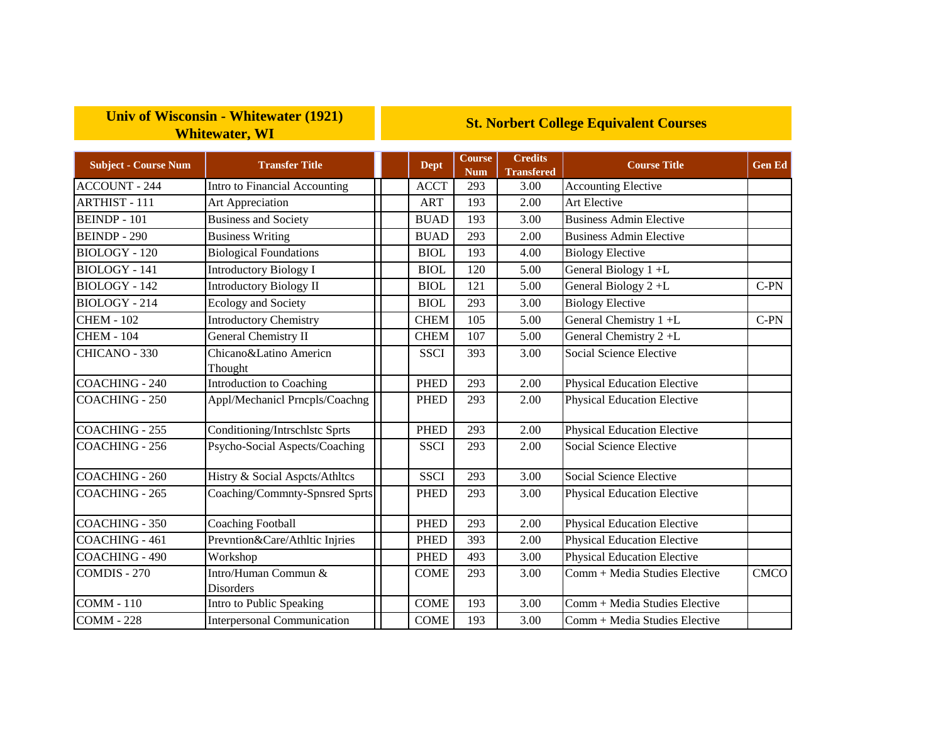## **Univ of Wisconsin - Whitewater (1921) Whitewater, WI**

## **St. Norbert College Equivalent Courses**

| <b>Subject - Course Num</b> | <b>Transfer Title</b>                    | <b>Dept</b> | <b>Course</b><br><b>Num</b> | <b>Credits</b><br><b>Transfered</b> | <b>Course Title</b>                | <b>Gen Ed</b> |
|-----------------------------|------------------------------------------|-------------|-----------------------------|-------------------------------------|------------------------------------|---------------|
| <b>ACCOUNT - 244</b>        | Intro to Financial Accounting            | <b>ACCT</b> | 293                         | 3.00                                | <b>Accounting Elective</b>         |               |
| <b>ARTHIST - 111</b>        | Art Appreciation                         | <b>ART</b>  | 193                         | 2.00                                | Art Elective                       |               |
| <b>BEINDP-101</b>           | <b>Business and Society</b>              | <b>BUAD</b> | 193                         | 3.00                                | <b>Business Admin Elective</b>     |               |
| <b>BEINDP - 290</b>         | <b>Business Writing</b>                  | <b>BUAD</b> | 293                         | 2.00                                | <b>Business Admin Elective</b>     |               |
| <b>BIOLOGY - 120</b>        | <b>Biological Foundations</b>            | <b>BIOL</b> | 193                         | 4.00                                | <b>Biology Elective</b>            |               |
| <b>BIOLOGY</b> - 141        | <b>Introductory Biology I</b>            | <b>BIOL</b> | 120                         | 5.00                                | General Biology 1+L                |               |
| BIOLOGY - 142               | <b>Introductory Biology II</b>           | <b>BIOL</b> | 121                         | 5.00                                | General Biology $2+L$              | $C-PN$        |
| BIOLOGY - 214               | <b>Ecology and Society</b>               | <b>BIOL</b> | 293                         | 3.00                                | <b>Biology Elective</b>            |               |
| <b>CHEM - 102</b>           | <b>Introductory Chemistry</b>            | <b>CHEM</b> | 105                         | 5.00                                | General Chemistry 1+L              | $C-PN$        |
| <b>CHEM - 104</b>           | <b>General Chemistry II</b>              | <b>CHEM</b> | 107                         | 5.00                                | General Chemistry 2+L              |               |
| CHICANO - 330               | Chicano&Latino Americn<br>Thought        | <b>SSCI</b> | 393                         | 3.00                                | Social Science Elective            |               |
| <b>COACHING - 240</b>       | <b>Introduction to Coaching</b>          | <b>PHED</b> | 293                         | 2.00                                | <b>Physical Education Elective</b> |               |
| <b>COACHING - 250</b>       | Appl/Mechanicl Prncpls/Coachng           | <b>PHED</b> | 293                         | 2.00                                | <b>Physical Education Elective</b> |               |
| COACHING - 255              | Conditioning/Intrschlstc Sprts           | <b>PHED</b> | 293                         | 2.00                                | <b>Physical Education Elective</b> |               |
| <b>COACHING - 256</b>       | Psycho-Social Aspects/Coaching           | <b>SSCI</b> | 293                         | 2.00                                | Social Science Elective            |               |
| <b>COACHING - 260</b>       | Histry & Social Aspets/Athltes           | <b>SSCI</b> | 293                         | 3.00                                | Social Science Elective            |               |
| <b>COACHING - 265</b>       | Coaching/Commnty-Spnsred Sprts           | <b>PHED</b> | 293                         | 3.00                                | <b>Physical Education Elective</b> |               |
| COACHING - 350              | <b>Coaching Football</b>                 | <b>PHED</b> | 293                         | 2.00                                | <b>Physical Education Elective</b> |               |
| <b>COACHING - 461</b>       | Prevntion&Care/Athltic Injries           | <b>PHED</b> | 393                         | 2.00                                | <b>Physical Education Elective</b> |               |
| <b>COACHING - 490</b>       | Workshop                                 | <b>PHED</b> | 493                         | 3.00                                | Physical Education Elective        |               |
| COMDIS - 270                | Intro/Human Commun &<br><b>Disorders</b> | <b>COME</b> | 293                         | 3.00                                | Comm + Media Studies Elective      | <b>CMCO</b>   |
| <b>COMM - 110</b>           | Intro to Public Speaking                 | <b>COME</b> | 193                         | 3.00                                | Comm + Media Studies Elective      |               |
| <b>COMM - 228</b>           | <b>Interpersonal Communication</b>       | <b>COME</b> | 193                         | 3.00                                | Comm + Media Studies Elective      |               |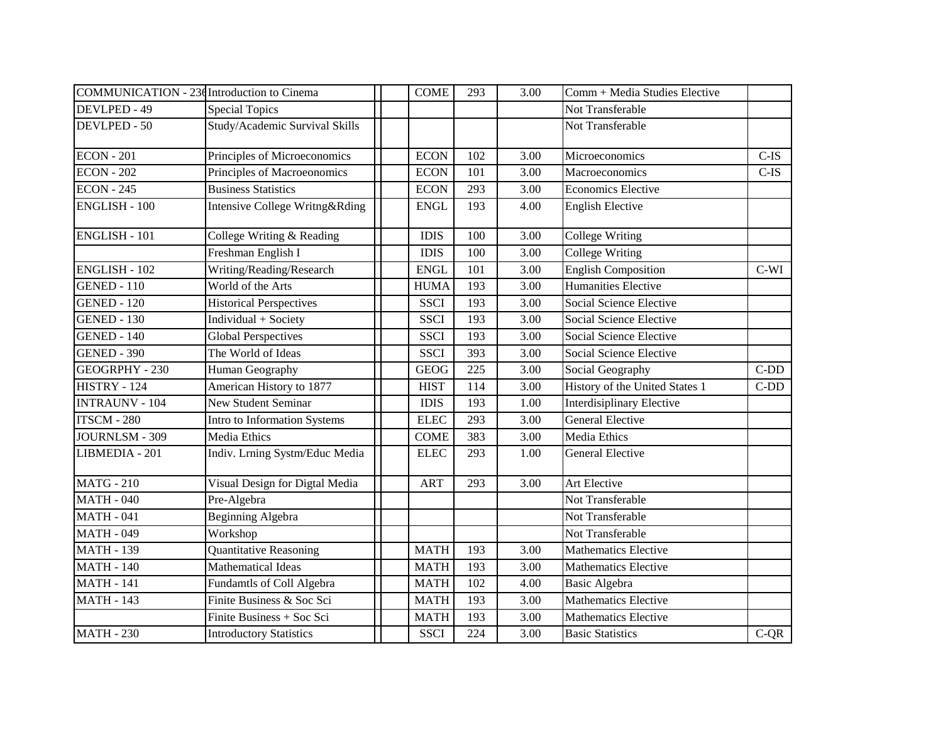|                       | COMMUNICATION - 23d Introduction to Cinema | <b>COME</b> | 293 | 3.00 | Comm + Media Studies Elective    |         |
|-----------------------|--------------------------------------------|-------------|-----|------|----------------------------------|---------|
| DEVLPED - 49          | <b>Special Topics</b>                      |             |     |      | Not Transferable                 |         |
| DEVLPED - 50          | Study/Academic Survival Skills             |             |     |      | Not Transferable                 |         |
| <b>ECON</b> - 201     | Principles of Microeconomics               | <b>ECON</b> | 102 | 3.00 | Microeconomics                   | $C$ -IS |
| <b>ECON - 202</b>     | Principles of Macroeonomics                | <b>ECON</b> | 101 | 3.00 | Macroeconomics                   | $C-IS$  |
| <b>ECON - 245</b>     | <b>Business Statistics</b>                 | <b>ECON</b> | 293 | 3.00 | <b>Economics Elective</b>        |         |
| <b>ENGLISH - 100</b>  | Intensive College Writng&Rding             | <b>ENGL</b> | 193 | 4.00 | <b>English Elective</b>          |         |
| <b>ENGLISH - 101</b>  | College Writing & Reading                  | <b>IDIS</b> | 100 | 3.00 | <b>College Writing</b>           |         |
|                       | Freshman English I                         | <b>IDIS</b> | 100 | 3.00 | <b>College Writing</b>           |         |
| <b>ENGLISH - 102</b>  | Writing/Reading/Research                   | <b>ENGL</b> | 101 | 3.00 | <b>English Composition</b>       | $C-WI$  |
| <b>GENED - 110</b>    | World of the Arts                          | <b>HUMA</b> | 193 | 3.00 | <b>Humanities Elective</b>       |         |
| <b>GENED - 120</b>    | <b>Historical Perspectives</b>             | <b>SSCI</b> | 193 | 3.00 | Social Science Elective          |         |
| <b>GENED - 130</b>    | Individual + Society                       | <b>SSCI</b> | 193 | 3.00 | Social Science Elective          |         |
| <b>GENED - 140</b>    | <b>Global Perspectives</b>                 | <b>SSCI</b> | 193 | 3.00 | Social Science Elective          |         |
| <b>GENED - 390</b>    | The World of Ideas                         | <b>SSCI</b> | 393 | 3.00 | Social Science Elective          |         |
| <b>GEOGRPHY - 230</b> | Human Geography                            | <b>GEOG</b> | 225 | 3.00 | Social Geography                 | $C-DD$  |
| HISTRY - 124          | American History to 1877                   | <b>HIST</b> | 114 | 3.00 | History of the United States 1   | $C-DD$  |
| <b>INTRAUNV - 104</b> | <b>New Student Seminar</b>                 | <b>IDIS</b> | 193 | 1.00 | <b>Interdisiplinary Elective</b> |         |
| <b>ITSCM - 280</b>    | Intro to Information Systems               | <b>ELEC</b> | 293 | 3.00 | <b>General Elective</b>          |         |
| JOURNLSM - 309        | Media Ethics                               | <b>COME</b> | 383 | 3.00 | Media Ethics                     |         |
| LIBMEDIA - 201        | Indiv. Lrning Systm/Educ Media             | <b>ELEC</b> | 293 | 1.00 | <b>General Elective</b>          |         |
| <b>MATG - 210</b>     | Visual Design for Digtal Media             | <b>ART</b>  | 293 | 3.00 | Art Elective                     |         |
| <b>MATH - 040</b>     | Pre-Algebra                                |             |     |      | Not Transferable                 |         |
| <b>MATH - 041</b>     | <b>Beginning Algebra</b>                   |             |     |      | Not Transferable                 |         |
| <b>MATH - 049</b>     | Workshop                                   |             |     |      | Not Transferable                 |         |
| <b>MATH - 139</b>     | Quantitative Reasoning                     | <b>MATH</b> | 193 | 3.00 | <b>Mathematics Elective</b>      |         |
| <b>MATH - 140</b>     | <b>Mathematical Ideas</b>                  | <b>MATH</b> | 193 | 3.00 | <b>Mathematics Elective</b>      |         |
| <b>MATH - 141</b>     | Fundamtls of Coll Algebra                  | <b>MATH</b> | 102 | 4.00 | <b>Basic Algebra</b>             |         |
| <b>MATH - 143</b>     | Finite Business & Soc Sci                  | <b>MATH</b> | 193 | 3.00 | <b>Mathematics Elective</b>      |         |
|                       | Finite Business + Soc Sci                  | <b>MATH</b> | 193 | 3.00 | <b>Mathematics Elective</b>      |         |
| <b>MATH - 230</b>     | <b>Introductory Statistics</b>             | <b>SSCI</b> | 224 | 3.00 | <b>Basic Statistics</b>          | $C-QR$  |